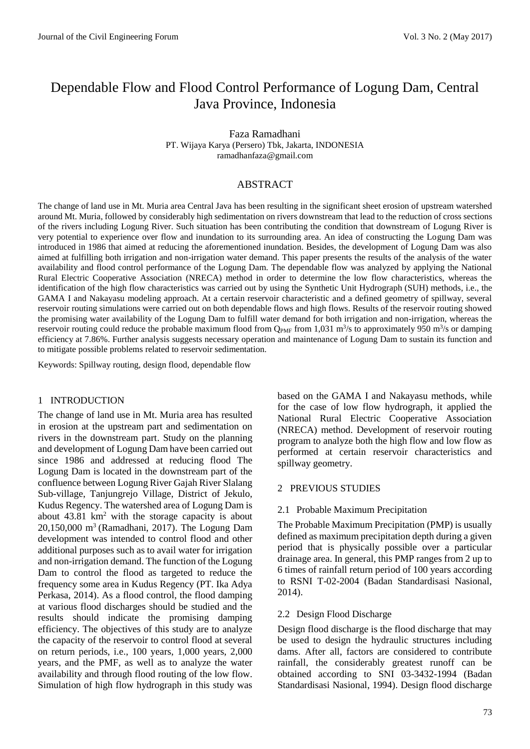# Dependable Flow and Flood Control Performance of Logung Dam, Central Java Province, Indonesia

Faza Ramadhani PT. Wijaya Karya (Persero) Tbk, Jakarta, INDONESIA ramadhanfaza@gmail.com

# ABSTRACT

The change of land use in Mt. Muria area Central Java has been resulting in the significant sheet erosion of upstream watershed around Mt. Muria, followed by considerably high sedimentation on rivers downstream that lead to the reduction of cross sections of the rivers including Logung River. Such situation has been contributing the condition that downstream of Logung River is very potential to experience over flow and inundation to its surrounding area. An idea of constructing the Logung Dam was introduced in 1986 that aimed at reducing the aforementioned inundation. Besides, the development of Logung Dam was also aimed at fulfilling both irrigation and non-irrigation water demand. This paper presents the results of the analysis of the water availability and flood control performance of the Logung Dam. The dependable flow was analyzed by applying the National Rural Electric Cooperative Association (NRECA) method in order to determine the low flow characteristics, whereas the identification of the high flow characteristics was carried out by using the Synthetic Unit Hydrograph (SUH) methods, i.e., the GAMA I and Nakayasu modeling approach. At a certain reservoir characteristic and a defined geometry of spillway, several reservoir routing simulations were carried out on both dependable flows and high flows. Results of the reservoir routing showed the promising water availability of the Logung Dam to fulfill water demand for both irrigation and non-irrigation, whereas the reservoir routing could reduce the probable maximum flood from  $Q_{PMF}$  from 1,031 m<sup>3</sup>/s to approximately 950 m<sup>3</sup>/s or damping efficiency at 7.86%. Further analysis suggests necessary operation and maintenance of Logung Dam to sustain its function and to mitigate possible problems related to reservoir sedimentation.

Keywords: Spillway routing, design flood, dependable flow

#### 1 INTRODUCTION

The change of land use in Mt. Muria area has resulted in erosion at the upstream part and sedimentation on rivers in the downstream part. Study on the planning and development of Logung Dam have been carried out since 1986 and addressed at reducing flood The Logung Dam is located in the downstream part of the confluence between Logung River Gajah River Slalang Sub-village, Tanjungrejo Village, District of Jekulo, Kudus Regency. The watershed area of Logung Dam is about 43.81 km<sup>2</sup> with the storage capacity is about 20,150,000 m<sup>3</sup> (Ramadhani, 2017). The Logung Dam development was intended to control flood and other additional purposes such as to avail water for irrigation and non-irrigation demand. The function of the Logung Dam to control the flood as targeted to reduce the frequency some area in Kudus Regency (PT. Ika Adya Perkasa, 2014). As a flood control, the flood damping at various flood discharges should be studied and the results should indicate the promising damping efficiency. The objectives of this study are to analyze the capacity of the reservoir to control flood at several on return periods, i.e., 100 years, 1,000 years, 2,000 years, and the PMF, as well as to analyze the water availability and through flood routing of the low flow. Simulation of high flow hydrograph in this study was based on the GAMA I and Nakayasu methods, while for the case of low flow hydrograph, it applied the National Rural Electric Cooperative Association (NRECA) method. Development of reservoir routing program to analyze both the high flow and low flow as performed at certain reservoir characteristics and spillway geometry.

#### 2 PREVIOUS STUDIES

### 2.1 Probable Maximum Precipitation

The Probable Maximum Precipitation (PMP) is usually defined as maximum precipitation depth during a given period that is physically possible over a particular drainage area. In general, this PMP ranges from 2 up to 6 times of rainfall return period of 100 years according to RSNI T-02-2004 (Badan Standardisasi Nasional, 2014).

### 2.2 Design Flood Discharge

Design flood discharge is the flood discharge that may be used to design the hydraulic structures including dams. After all, factors are considered to contribute rainfall, the considerably greatest runoff can be obtained according to SNI 03-3432-1994 (Badan Standardisasi Nasional, 1994). Design flood discharge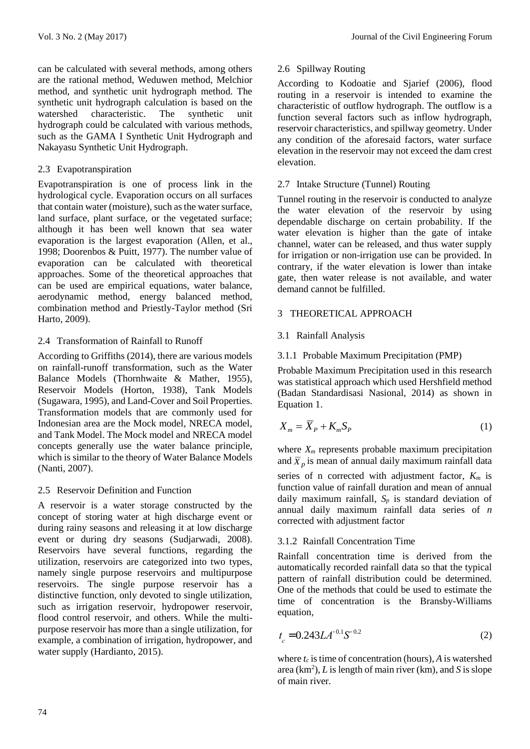can be calculated with several methods, among others are the rational method, Weduwen method, Melchior method, and synthetic unit hydrograph method. The synthetic unit hydrograph calculation is based on the watershed characteristic. The synthetic unit hydrograph could be calculated with various methods, such as the GAMA I Synthetic Unit Hydrograph and Nakayasu Synthetic Unit Hydrograph.

# 2.3 Evapotranspiration

Evapotranspiration is one of process link in the hydrological cycle. Evaporation occurs on all surfaces that contain water (moisture), such as the water surface, land surface, plant surface, or the vegetated surface; although it has been well known that sea water evaporation is the largest evaporation (Allen, et al., 1998; Doorenbos & Puitt, 1977). The number value of evaporation can be calculated with theoretical approaches. Some of the theoretical approaches that can be used are empirical equations, water balance, aerodynamic method, energy balanced method, combination method and Priestly-Taylor method (Sri Harto, 2009).

# 2.4 Transformation of Rainfall to Runoff

According to Griffiths (2014), there are various models on rainfall-runoff transformation, such as the Water Balance Models (Thornhwaite & Mather, 1955), Reservoir Models (Horton, 1938), Tank Models (Sugawara, 1995), and Land-Cover and Soil Properties. Transformation models that are commonly used for Indonesian area are the Mock model, NRECA model, and Tank Model. The Mock model and NRECA model concepts generally use the water balance principle, which is similar to the theory of Water Balance Models (Nanti, 2007).

# 2.5 Reservoir Definition and Function

A reservoir is a water storage constructed by the concept of storing water at high discharge event or during rainy seasons and releasing it at low discharge event or during dry seasons (Sudjarwadi, 2008). Reservoirs have several functions, regarding the utilization, reservoirs are categorized into two types, namely single purpose reservoirs and multipurpose reservoirs. The single purpose reservoir has a distinctive function, only devoted to single utilization, such as irrigation reservoir, hydropower reservoir, flood control reservoir, and others. While the multipurpose reservoir has more than a single utilization, for example, a combination of irrigation, hydropower, and water supply (Hardianto, 2015).

# 2.6 Spillway Routing

According to Kodoatie and Sjarief (2006), flood routing in a reservoir is intended to examine the characteristic of outflow hydrograph. The outflow is a function several factors such as inflow hydrograph, reservoir characteristics, and spillway geometry. Under any condition of the aforesaid factors, water surface elevation in the reservoir may not exceed the dam crest elevation.

# 2.7 Intake Structure (Tunnel) Routing

Tunnel routing in the reservoir is conducted to analyze the water elevation of the reservoir by using dependable discharge on certain probability. If the water elevation is higher than the gate of intake channel, water can be released, and thus water supply for irrigation or non-irrigation use can be provided. In contrary, if the water elevation is lower than intake gate, then water release is not available, and water demand cannot be fulfilled.

# 3 THEORETICAL APPROACH

# 3.1 Rainfall Analysis

# 3.1.1 Probable Maximum Precipitation (PMP)

Probable Maximum Precipitation used in this research was statistical approach which used Hershfield method (Badan Standardisasi Nasional, 2014) as shown in Equation 1.

$$
X_m = \overline{X}_P + K_m S_P \tag{1}
$$

where *X<sup>m</sup>* represents probable maximum precipitation and  $\bar{X}_p$  is mean of annual daily maximum rainfall data

series of n corrected with adjustment factor, *K<sup>m</sup>* is function value of rainfall duration and mean of annual daily maximum rainfall,  $S_p$  is standard deviation of annual daily maximum rainfall data series of *n* corrected with adjustment factor

# 3.1.2 Rainfall Concentration Time

Rainfall concentration time is derived from the automatically recorded rainfall data so that the typical pattern of rainfall distribution could be determined. One of the methods that could be used to estimate the time of concentration is the Bransby-Williams equation,

$$
t_c = 0.243LA^{-0.1}S^{-0.2}
$$
 (2)

where  $t_c$  is time of concentration (hours),  $\vec{A}$  is watershed area  $(km^2)$ , *L* is length of main river (km), and *S* is slope of main river.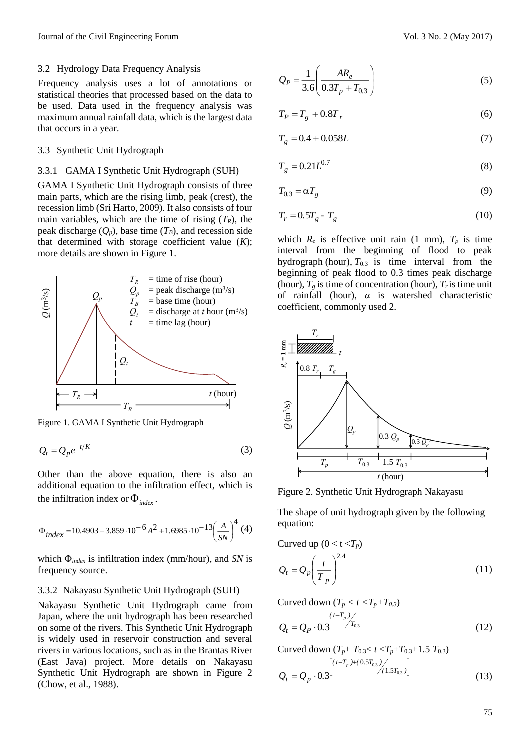Frequency analysis uses a lot of annotations or statistical theories that processed based on the data to be used. Data used in the frequency analysis was maximum annual rainfall data, which is the largest data that occurs in a year.

### 3.3 Synthetic Unit Hydrograph

### 3.3.1 GAMA I Synthetic Unit Hydrograph (SUH)

GAMA I Synthetic Unit Hydrograph consists of three main parts, which are the rising limb, peak (crest), the recession limb (Sri Harto, 2009). It also consists of four main variables, which are the time of rising  $(T_R)$ , the peak discharge  $(Q_p)$ , base time  $(T_B)$ , and recession side that determined with storage coefficient value (*K*); more details are shown in Figure 1.



Figure 1. GAMA I Synthetic Unit Hydrograph

$$
Q_t = Q_p e^{-t/K} \tag{3}
$$

Other than the above equation, there is also an additional equation to the infiltration effect, which is the infiltration index or  $\Phi_{index}$ .

$$
\Phi_{index} = 10.4903 - 3.859 \cdot 10^{-6} A^2 + 1.6985 \cdot 10^{-13} \left(\frac{A}{SN}\right)^4 (4)
$$

which  $\Phi_{index}$  is infiltration index (mm/hour), and *SN* is frequency source.

#### 3.3.2 Nakayasu Synthetic Unit Hydrograph (SUH)

Nakayasu Synthetic Unit Hydrograph came from Japan, where the unit hydrograph has been researched on some of the rivers. This Synthetic Unit Hydrograph is widely used in reservoir construction and several rivers in various locations, such as in the Brantas River (East Java) project. More details on Nakayasu Synthetic Unit Hydrograph are shown in Figure 2 (Chow, et al., 1988).

$$
Q_P = \frac{1}{3.6} \left( \frac{AR_e}{0.3T_p + T_{0.3}} \right)
$$
 (5)

$$
T_P = T_g + 0.8T_r \tag{6}
$$

$$
T_g = 0.4 + 0.058L\tag{7}
$$

$$
T_g = 0.21 L^{0.7}
$$
 (8)

$$
T_{0.3} = \alpha T_g \tag{9}
$$

$$
T_r = 0.5T_g - T_g \tag{10}
$$

which  $R_e$  is effective unit rain (1 mm),  $T_p$  is time interval from the beginning of flood to peak hydrograph (hour),  $T_{0,3}$  is time interval from the beginning of peak flood to 0.3 times peak discharge (hour),  $T_g$  is time of concentration (hour),  $T_f$  is time unit of rainfall (hour), *α* is watershed characteristic coefficient, commonly used 2.



Figure 2. Synthetic Unit Hydrograph Nakayasu

The shape of unit hydrograph given by the following equation:

Curved up 
$$
(0 < t < T_p)
$$
  
\n
$$
Q_t = Q_p \left(\frac{t}{T_p}\right)^{2.4}
$$
\n(11)

Curved down  $(T_p < t < T_p + T_{0.3})$ 

$$
Q_t = Q_P \cdot 0.3 \qquad (12)
$$

Curved down  $(T_p + T_{0.3} < t < T_p + T_{0.3} + 1.5 T_{0.3})$ 

$$
Q_t = Q_p \cdot 0.3 \left[ \frac{(t - T_p) + (0.5T_{0.3})}{(1.5T_{0.3})} \right]
$$
 (13)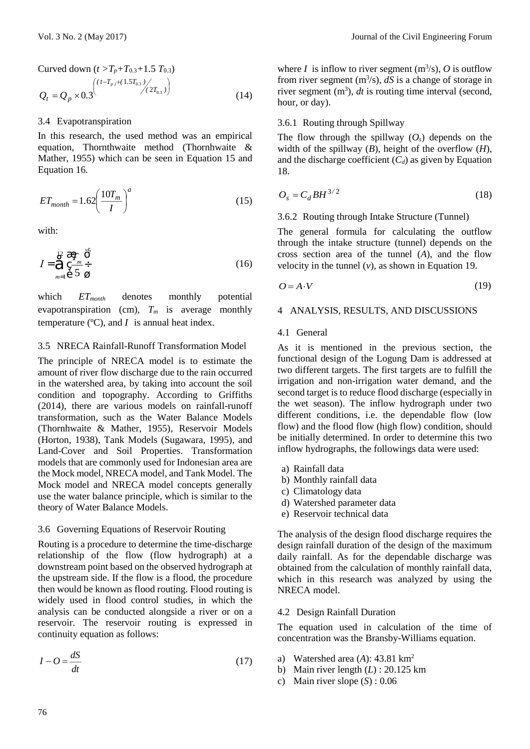Curved down 
$$
(t > T_p + T_{0.3} + 1.5 T_{0.3})
$$
  
\n $Q_t = Q_p \times 0.3$   
\n
$$
(14)
$$

### 3.4 Evapotranspiration

In this research, the used method was an empirical equation, Thornthwaite method (Thornhwaite & Mather, 1955) which can be seen in Equation 15 and Equation 16.

$$
ET_{month} = 1.62 \left(\frac{10T_m}{I}\right)^a \tag{15}
$$

with:

$$
I = \mathop{\bigodot}\limits_{m=1}^{12} \mathop{\mathbb{E}}\limits^{\mathop{\mathbb{E}}}\frac{T_m}{5} \mathop{\mathbb{E}}\limits^{\bullet}_{\mathop{\mathbb{E}}}\nolimits
$$
 (16)

which  $ET_{month}$  denotes monthly potential evapotranspiration (cm),  $T_m$  is average monthly temperature  $(°C)$ , and *I* is annual heat index.

### 3.5 NRECA Rainfall-Runoff Transformation Model

The principle of NRECA model is to estimate the amount of river flow discharge due to the rain occurred in the watershed area, by taking into account the soil condition and topography. According to Griffiths (2014), there are various models on rainfall-runoff transformation, such as the Water Balance Models (Thornhwaite & Mather, 1955), Reservoir Models (Horton, 1938), Tank Models (Sugawara, 1995), and Land-Cover and Soil Properties. Transformation models that are commonly used for Indonesian area are the Mock model, NRECA model, and Tank Model. The Mock model and NRECA model concepts generally use the water balance principle, which is similar to the theory of Water Balance Models.

#### 3.6 Governing Equations of Reservoir Routing

Routing is a procedure to determine the time-discharge relationship of the flow (flow hydrograph) at a downstream point based on the observed hydrograph at the upstream side. If the flow is a flood, the procedure then would be known as flood routing. Flood routing is widely used in flood control studies, in which the analysis can be conducted alongside a river or on a reservoir. The reservoir routing is expressed in continuity equation as follows:

$$
I - O = \frac{dS}{dt} \tag{17}
$$

where *I* is inflow to river segment  $(m^3/s)$ , *O* is outflow from river segment  $(m<sup>3</sup>/s)$ ,  $dS$  is a change of storage in river segment  $(m^3)$ , *dt* is routing time interval (second, hour, or day).

# 3.6.1 Routing through Spillway

The flow through the spillway  $(O_s)$  depends on the width of the spillway (*B*), height of the overflow (*H*), and the discharge coefficient  $(C_d)$  as given by Equation 18.

$$
O_s = C_d BH^{3/2} \tag{18}
$$

#### 3.6.2 Routing through Intake Structure (Tunnel)

The general formula for calculating the outflow through the intake structure (tunnel) depends on the cross section area of the tunnel (*A*), and the flow velocity in the tunnel (*v*), as shown in Equation 19.

$$
O = A \cdot V \tag{19}
$$

### 4 ANALYSIS, RESULTS, AND DISCUSSIONS

#### 4.1 General

As it is mentioned in the previous section, the functional design of the Logung Dam is addressed at two different targets. The first targets are to fulfill the irrigation and non-irrigation water demand, and the second target is to reduce flood discharge (especially in the wet season). The inflow hydrograph under two different conditions, i.e. the dependable flow (low flow) and the flood flow (high flow) condition, should be initially determined. In order to determine this two inflow hydrographs, the followings data were used:

- a) Rainfall data
- b) Monthly rainfall data
- c) Climatology data
- d) Watershed parameter data
- e) Reservoir technical data

The analysis of the design flood discharge requires the design rainfall duration of the design of the maximum daily rainfall. As for the dependable discharge was obtained from the calculation of monthly rainfall data, which in this research was analyzed by using the NRECA model.

#### 4.2 Design Rainfall Duration

The equation used in calculation of the time of concentration was the Bransby-Williams equation.

- a) Watershed area (*A*): 43.81 km<sup>2</sup>
- b) Main river length (*L*) : 20.125 km
- c) Main river slope (*S*) : 0.06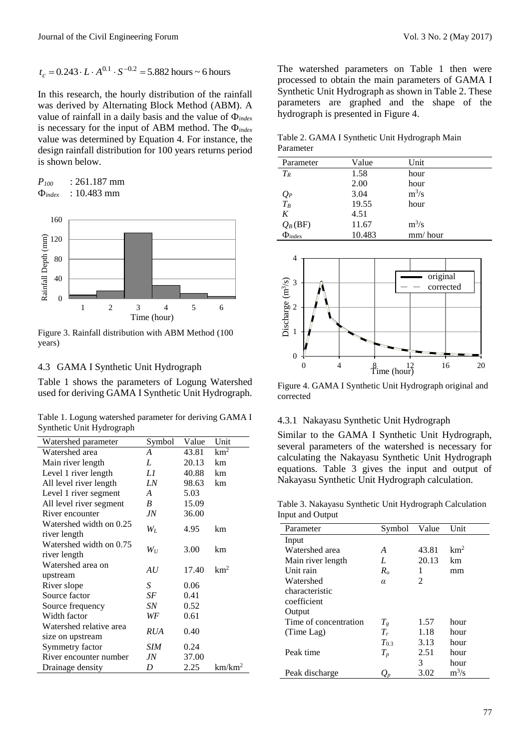$$
t_c = 0.243 \cdot L \cdot A^{0.1} \cdot S^{-0.2} = 5.882
$$
 hours ~ 6 hours

$$
P_{100} = 261.187 \text{ mm}
$$
  
\n
$$
\Phi_{index} = 10.483 \text{ mm}
$$



Figure 3. Rainfall distribution with ABM Method (100 years)

### 4.3 GAMA I Synthetic Unit Hydrograph

Table 1. Logung watershed parameter for deriving GAMA I Synthetic Unit Hydrograph

| $t_c = 0.243 \cdot L \cdot A^{0.1} \cdot S^{-0.2} = 5.882$ hours ~ 6 hours<br>In this research, the hourly distribution of the rainfall<br>was derived by Alternating Block Method (ABM). A<br>value of rainfall in a daily basis and the value of $\Phi_{index}$ |                     |       |                    | The watershed parameters on Table I then were<br>processed to obtain the main parameters of GAMA 1<br>Synthetic Unit Hydrograph as shown in Table 2. These<br>parameters are graphed and the shape of the<br>hydrograph is presented in Figure 4. |                |                         |                 |                 |
|-------------------------------------------------------------------------------------------------------------------------------------------------------------------------------------------------------------------------------------------------------------------|---------------------|-------|--------------------|---------------------------------------------------------------------------------------------------------------------------------------------------------------------------------------------------------------------------------------------------|----------------|-------------------------|-----------------|-----------------|
| is necessary for the input of ABM method. The $\Phi_{index}$<br>value was determined by Equation 4. For instance, the<br>design rainfall distribution for 100 years returns period                                                                                |                     |       |                    | Table 2. GAMA I Synthetic Unit Hydrograph Main<br>Parameter                                                                                                                                                                                       |                |                         |                 |                 |
| is shown below.                                                                                                                                                                                                                                                   |                     |       |                    | Parameter                                                                                                                                                                                                                                         | Value          |                         | Unit            |                 |
|                                                                                                                                                                                                                                                                   |                     |       |                    | $T_R$                                                                                                                                                                                                                                             | 1.58           |                         | hour            |                 |
| $P_{100}$<br>: 261.187 mm<br>: 10.483 mm                                                                                                                                                                                                                          |                     |       |                    |                                                                                                                                                                                                                                                   | 2.00           |                         | hour            |                 |
| $\Phi_{index}$                                                                                                                                                                                                                                                    |                     |       |                    | $Q_P$<br>$T_B$                                                                                                                                                                                                                                    | 3.04<br>19.55  |                         | $m^3/s$<br>hour |                 |
|                                                                                                                                                                                                                                                                   |                     |       |                    | $\cal K$                                                                                                                                                                                                                                          | 4.51           |                         |                 |                 |
| 160                                                                                                                                                                                                                                                               |                     |       |                    | $Q_B$ (BF)                                                                                                                                                                                                                                        | 11.67          |                         | $m^3/s$         |                 |
| 120                                                                                                                                                                                                                                                               |                     |       |                    | $\Phi_{index}$                                                                                                                                                                                                                                    | 10.483         |                         | mm/hour         |                 |
| Rainfall Depth (mm)                                                                                                                                                                                                                                               |                     |       |                    |                                                                                                                                                                                                                                                   |                |                         |                 |                 |
| 80                                                                                                                                                                                                                                                                |                     |       |                    | 4                                                                                                                                                                                                                                                 |                |                         |                 |                 |
|                                                                                                                                                                                                                                                                   |                     |       |                    |                                                                                                                                                                                                                                                   |                |                         |                 |                 |
| 40                                                                                                                                                                                                                                                                |                     |       |                    |                                                                                                                                                                                                                                                   |                |                         | original        |                 |
|                                                                                                                                                                                                                                                                   |                     |       |                    | Discharge $(m^3/s)$                                                                                                                                                                                                                               |                |                         |                 | corrected       |
| $\overline{0}$<br>$\mathbf{2}$<br>1                                                                                                                                                                                                                               | 3<br>$\overline{4}$ | 5     | 6                  |                                                                                                                                                                                                                                                   |                |                         |                 |                 |
|                                                                                                                                                                                                                                                                   | Time (hour)         |       |                    |                                                                                                                                                                                                                                                   |                |                         |                 |                 |
|                                                                                                                                                                                                                                                                   |                     |       |                    |                                                                                                                                                                                                                                                   |                |                         |                 |                 |
| Figure 3. Rainfall distribution with ABM Method (100<br>years)                                                                                                                                                                                                    |                     |       |                    |                                                                                                                                                                                                                                                   |                |                         |                 |                 |
|                                                                                                                                                                                                                                                                   |                     |       |                    |                                                                                                                                                                                                                                                   |                |                         |                 |                 |
|                                                                                                                                                                                                                                                                   |                     |       |                    | $\boldsymbol{0}$<br>$\overline{0}$                                                                                                                                                                                                                | $\overline{4}$ |                         |                 | 16<br>20        |
| 4.3 GAMA I Synthetic Unit Hydrograph                                                                                                                                                                                                                              |                     |       |                    |                                                                                                                                                                                                                                                   |                | $\sum_{i=1}^{8}$ (hour) |                 |                 |
| Table 1 shows the parameters of Logung Watershed                                                                                                                                                                                                                  |                     |       |                    | Figure 4. GAMA I Synthetic Unit Hydrograph original and                                                                                                                                                                                           |                |                         |                 |                 |
| used for deriving GAMA I Synthetic Unit Hydrograph.                                                                                                                                                                                                               |                     |       |                    | corrected                                                                                                                                                                                                                                         |                |                         |                 |                 |
|                                                                                                                                                                                                                                                                   |                     |       |                    |                                                                                                                                                                                                                                                   |                |                         |                 |                 |
| Table 1. Logung watershed parameter for deriving GAMA I                                                                                                                                                                                                           |                     |       |                    | 4.3.1 Nakayasu Synthetic Unit Hydrograph                                                                                                                                                                                                          |                |                         |                 |                 |
| Synthetic Unit Hydrograph                                                                                                                                                                                                                                         |                     |       |                    | Similar to the GAMA I Synthetic Unit Hydrograph,                                                                                                                                                                                                  |                |                         |                 |                 |
| Watershed parameter                                                                                                                                                                                                                                               | Symbol              | Value | Unit               | several parameters of the watershed is necessary for                                                                                                                                                                                              |                |                         |                 |                 |
| Watershed area                                                                                                                                                                                                                                                    | $\overline{A}$      | 43.81 | km <sup>2</sup>    | calculating the Nakayasu Synthetic Unit Hydrograph                                                                                                                                                                                                |                |                         |                 |                 |
| Main river length                                                                                                                                                                                                                                                 | L                   | 20.13 | km                 |                                                                                                                                                                                                                                                   |                |                         |                 |                 |
| Level 1 river length                                                                                                                                                                                                                                              | L1                  | 40.88 | km                 | equations. Table 3 gives the input and output of                                                                                                                                                                                                  |                |                         |                 |                 |
| All level river length                                                                                                                                                                                                                                            | LN                  | 98.63 | km                 | Nakayasu Synthetic Unit Hydrograph calculation.                                                                                                                                                                                                   |                |                         |                 |                 |
| Level 1 river segment                                                                                                                                                                                                                                             | $\boldsymbol{A}$    | 5.03  |                    |                                                                                                                                                                                                                                                   |                |                         |                 |                 |
| All level river segment                                                                                                                                                                                                                                           | $\boldsymbol{B}$    | 15.09 |                    | Table 3. Nakayasu Synthetic Unit Hydrograph Calculation                                                                                                                                                                                           |                |                         |                 |                 |
| River encounter<br>Watershed width on 0.25                                                                                                                                                                                                                        | $J\!N$              | 36.00 |                    | Input and Output                                                                                                                                                                                                                                  |                |                         |                 |                 |
| river length                                                                                                                                                                                                                                                      | ${\cal W}_L$        | 4.95  | km                 | Parameter                                                                                                                                                                                                                                         |                | Symbol                  | Value           | Unit            |
| Watershed width on 0.75                                                                                                                                                                                                                                           |                     |       |                    | Input                                                                                                                                                                                                                                             |                |                         |                 |                 |
| river length                                                                                                                                                                                                                                                      | $\mathfrak{W}_U$    | 3.00  | km                 | Watershed area                                                                                                                                                                                                                                    |                | A                       | 43.81           | km <sup>2</sup> |
| Watershed area on                                                                                                                                                                                                                                                 |                     |       |                    | Main river length                                                                                                                                                                                                                                 |                | $\boldsymbol{L}$        | 20.13           | km              |
| upstream                                                                                                                                                                                                                                                          | AU                  | 17.40 | km <sup>2</sup>    | Unit rain                                                                                                                                                                                                                                         |                | $R_o$                   | 1               | mm              |
| River slope                                                                                                                                                                                                                                                       | $\boldsymbol{S}$    | 0.06  |                    | Watershed                                                                                                                                                                                                                                         |                | $\alpha$                | 2               |                 |
| Source factor                                                                                                                                                                                                                                                     | SF                  | 0.41  |                    | characteristic                                                                                                                                                                                                                                    |                |                         |                 |                 |
| Source frequency                                                                                                                                                                                                                                                  | ${\cal SN}$         | 0.52  |                    | coefficient                                                                                                                                                                                                                                       |                |                         |                 |                 |
| Width factor                                                                                                                                                                                                                                                      | WF                  | 0.61  |                    | Output<br>Time of concentration                                                                                                                                                                                                                   |                |                         | 1.57            | hour            |
| Watershed relative area                                                                                                                                                                                                                                           | <b>RUA</b>          | 0.40  |                    | (Time Lag)                                                                                                                                                                                                                                        |                | $T_g$<br>$T_r$          | 1.18            | hour            |
| size on upstream                                                                                                                                                                                                                                                  |                     |       |                    |                                                                                                                                                                                                                                                   |                | $T_{0.3}$               | 3.13            | hour            |
| Symmetry factor                                                                                                                                                                                                                                                   | <b>SIM</b>          | 0.24  |                    | Peak time                                                                                                                                                                                                                                         |                | $T_p$                   | 2.51            | hour            |
| River encounter number                                                                                                                                                                                                                                            | $J\!N$              | 37.00 |                    |                                                                                                                                                                                                                                                   |                |                         | 3               | hour            |
| Drainage density                                                                                                                                                                                                                                                  | D                   | 2.25  | km/km <sup>2</sup> | Peak discharge                                                                                                                                                                                                                                    |                | $Q_p$                   | 3.02            | $m^3/s$         |
|                                                                                                                                                                                                                                                                   |                     |       |                    |                                                                                                                                                                                                                                                   |                |                         |                 |                 |
|                                                                                                                                                                                                                                                                   |                     |       |                    |                                                                                                                                                                                                                                                   |                |                         |                 |                 |
|                                                                                                                                                                                                                                                                   |                     |       |                    |                                                                                                                                                                                                                                                   |                |                         |                 | 77              |
|                                                                                                                                                                                                                                                                   |                     |       |                    |                                                                                                                                                                                                                                                   |                |                         |                 |                 |

The watershed parameters on Table 1 then were processed to obtain the main parameters of GAMA I Synthetic Unit Hydrograph as shown in Table 2. These parameters are graphed and the shape of the hydrograph is presented in Figure 4.

Table 2. GAMA I Synthetic Unit Hydrograph Main Parameter

| Parameter         | Value  | Unit    |
|-------------------|--------|---------|
| $T_R$             | 1.58   | hour    |
|                   | 2.00   | hour    |
|                   | 3.04   | $m^3/s$ |
| $\frac{Q_P}{T_B}$ | 19.55  | hour    |
| K                 | 4.51   |         |
| $Q_B$ (BF)        | 11.67  | $m^3/s$ |
| $\Phi_{index}$    | 10.483 | mm/hour |



Figure 4. GAMA I Synthetic Unit Hydrograph original and corrected

#### 4.3.1 Nakayasu Synthetic Unit Hydrograph

Table 3. Nakayasu Synthetic Unit Hydrograph Calculation Input and Output

| Parameter             | Symbol    | Value                       | Unit            |
|-----------------------|-----------|-----------------------------|-----------------|
| Input                 |           |                             |                 |
| Watershed area        | A         | 43.81                       | km <sup>2</sup> |
| Main river length     | L         | 20.13                       | km              |
| Unit rain             | $R_o$     | 1                           | mm              |
| Watershed             | $\alpha$  | $\mathcal{D}_{\mathcal{L}}$ |                 |
| characteristic        |           |                             |                 |
| coefficient           |           |                             |                 |
| Output                |           |                             |                 |
| Time of concentration | $T_{g}$   | 1.57                        | hour            |
| (Time Lag)            | $T_r$     | 1.18                        | hour            |
|                       | $T_{0.3}$ | 3.13                        | hour            |
| Peak time             | $T_p$     | 2.51                        | hour            |
|                       |           | 3                           | hour            |
| Peak discharge        |           | 3.02                        | $m^3/s$         |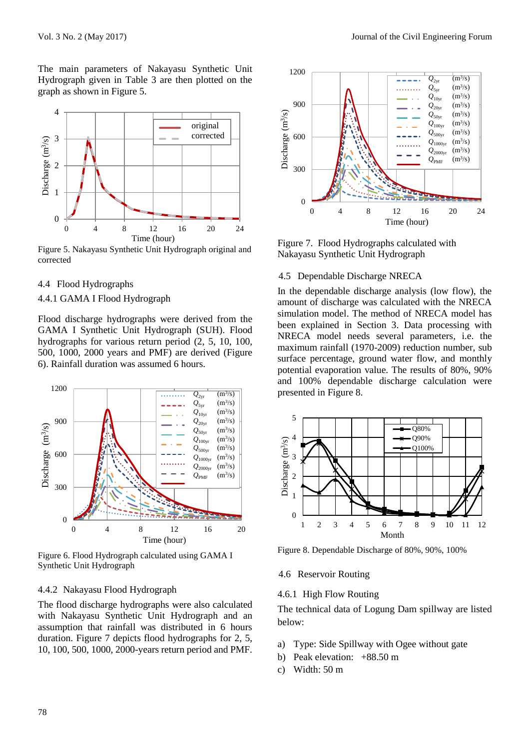The main parameters of Nakayasu Synthetic Unit Hydrograph given in Table 3 are then plotted on the graph as shown in Figure 5.



Figure 5. Nakayasu Synthetic Unit Hydrograph original and corrected

#### 4.4 Flood Hydrographs

#### 4.4.1 GAMA I Flood Hydrograph

Flood discharge hydrographs were derived from the GAMA I Synthetic Unit Hydrograph (SUH). Flood hydrographs for various return period (2, 5, 10, 100, 500, 1000, 2000 years and PMF) are derived (Figure 6). Rainfall duration was assumed 6 hours.



Figure 6. Flood Hydrograph calculated using GAMA I Synthetic Unit Hydrograph

# 4.4.2 Nakayasu Flood Hydrograph

The flood discharge hydrographs were also calculated with Nakayasu Synthetic Unit Hydrograph and an assumption that rainfall was distributed in 6 hours duration. Figure 7 depicts flood hydrographs for 2, 5, 10, 100, 500, 1000, 2000-years return period and PMF.



Figure 7. Flood Hydrographs calculated with Nakayasu Synthetic Unit Hydrograph

#### 4.5 Dependable Discharge NRECA

In the dependable discharge analysis (low flow), the amount of discharge was calculated with the NRECA simulation model. The method of NRECA model has been explained in Section 3. Data processing with NRECA model needs several parameters, i.e. the maximum rainfall (1970-2009) reduction number, sub surface percentage, ground water flow, and monthly potential evaporation value. The results of 80%, 90% and 100% dependable discharge calculation were presented in Figure 8.



Figure 8. Dependable Discharge of 80%, 90%, 100%

4.6 Reservoir Routing

### 4.6.1 High Flow Routing

The technical data of Logung Dam spillway are listed below:

- a) Type: Side Spillway with Ogee without gate
- b) Peak elevation: +88.50 m
- c) Width: 50 m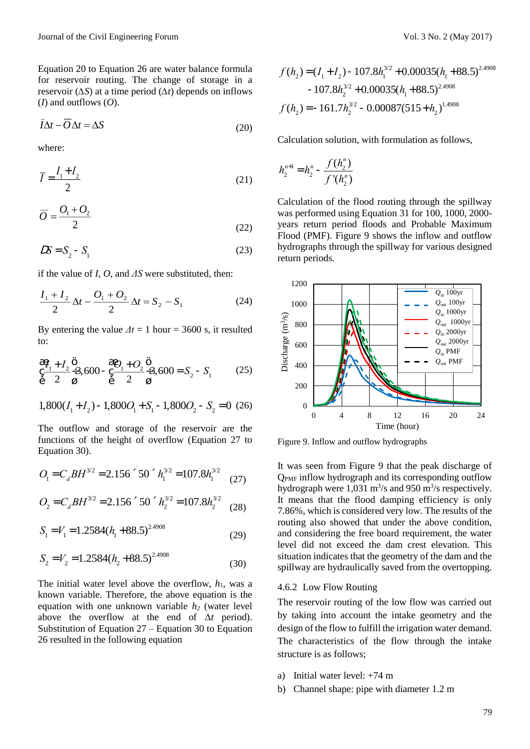Equation 20 to Equation 26 are water balance formula for reservoir routing. The change of storage in a reservoir (*∆S*) at a time period (*∆t*) depends on inflows (*I*) and outflows (*O*).

$$
I\Delta t - O\Delta t = \Delta S \tag{20}
$$

where:

$$
\overline{I} = \frac{I_1 + I_2}{2} \tag{21}
$$

$$
\overline{O} = \frac{O_1 + O_2}{2} \tag{22}
$$

$$
DS = S_2 - S_1 \tag{23}
$$

if the value of *I*, *O*, and *ΔS* were substituted, then:

$$
\frac{I_1 + I_2}{2} \Delta t - \frac{O_1 + O_2}{2} \Delta t = S_2 - S_1
$$
 (24)

By entering the value  $\Delta t = 1$  hour = 3600 s, it resulted to:

$$
\frac{\overset{\circ}{c}}{\underset{\stackrel{\circ}{e}}{1}} \frac{I_1 + I_2}{2} \overset{\overset{\circ}{0}}{\underset{\stackrel{\circ}{g}}{1}} 3,600 - \frac{\overset{\circ}{c}}{\underset{\stackrel{\circ}{e}}{0}} \frac{O_1 + O_2}{2} \overset{\overset{\circ}{0}}{\underset{\stackrel{\circ}{g}}{1}} 3,600 = S_2 - S_1
$$
 (25)

$$
1,800(I_1 + I_2) - 1,800O_1 + S_1 - 1,800O_2 - S_2 = 0 \tag{26}
$$

The outflow and storage of the reservoir are the functions of the height of overflow (Equation 27 to Equation 30).

$$
O_{1} = C_{d}BH^{3/2} = 2.156 \text{ }^{\circ}50 \text{ }^{\circ}h_{1}^{3/2} = 107.8h_{1}^{3/2} \tag{27}
$$

$$
O_2 = C_d BH^{3/2} = 2.156 \cdot 50 \cdot h_2^{3/2} = 107.8 h_2^{3/2}
$$
 (28)

$$
S_1 = V_1 = 1.2584(h_1 + 88.5)^{2.4908}
$$
 (29)

$$
S_2 = V_2 = 1.2584(h_2 + 88.5)^{2.4908}
$$
 (30)

The initial water level above the overflow,  $h_1$ , was a known variable. Therefore, the above equation is the equation with one unknown variable *h<sup>2</sup>* (water level above the overflow at the end of Δ*t* period). Substitution of Equation  $27 -$  Equation 30 to Equation 26 resulted in the following equation

$$
f(h_2) = (I_1 + I_2) - 107.8h_1^{3/2} + 0.00035(h_1 + 88.5)^{2.4908} - 107.8h_2^{3/2} + 0.00035(h_1 + 88.5)^{2.4908}
$$

$$
f(h_2) = -161.7h_2^{3/2} - 0.00087(515 + h_2)^{1.4908}
$$

Calculation solution, with formulation as follows,

$$
h_2^{n+1} = h_2^n - \frac{f(h_2^n)}{f'(h_2^n)}
$$

Calculation of the flood routing through the spillway was performed using Equation 31 for 100, 1000, 2000 years return period floods and Probable Maximum Flood (PMF). Figure 9 shows the inflow and outflow hydrographs through the spillway for various designed return periods.



Figure 9. Inflow and outflow hydrographs

It was seen from Figure 9 that the peak discharge of QPMF inflow hydrograph and its corresponding outflow hydrograph were  $1,031 \text{ m}^3/\text{s}$  and 950 m<sup>3</sup>/s respectively. It means that the flood damping efficiency is only 7.86%, which is considered very low. The results of the routing also showed that under the above condition, and considering the free board requirement, the water level did not exceed the dam crest elevation. This situation indicates that the geometry of the dam and the spillway are hydraulically saved from the overtopping.

#### 4.6.2 Low Flow Routing

The reservoir routing of the low flow was carried out by taking into account the intake geometry and the design of the flow to fulfill the irrigation water demand. The characteristics of the flow through the intake structure is as follows;

- a) Initial water level: +74 m
- b) Channel shape: pipe with diameter 1.2 m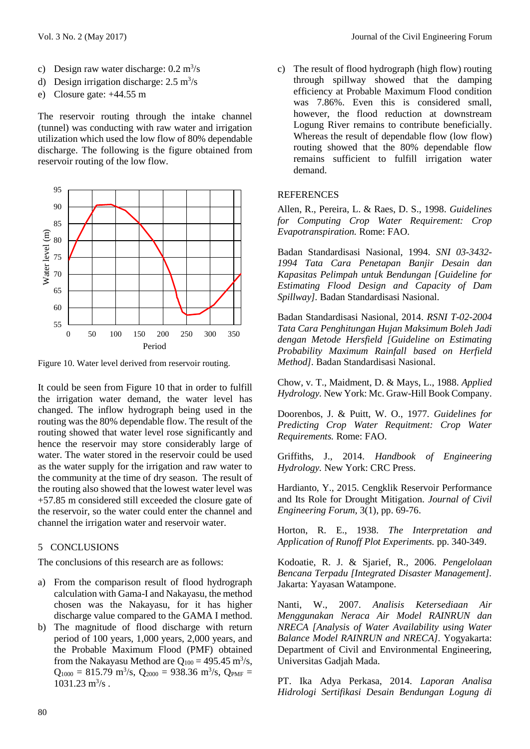- c) Design raw water discharge:  $0.2 \text{ m}^3/\text{s}$
- d) Design irrigation discharge:  $2.5 \text{ m}^3\text{/s}$
- e) Closure gate: +44.55 m

The reservoir routing through the intake channel (tunnel) was conducting with raw water and irrigation utilization which used the low flow of 80% dependable discharge. The following is the figure obtained from reservoir routing of the low flow.



Figure 10. Water level derived from reservoir routing.

It could be seen from Figure 10 that in order to fulfill the irrigation water demand, the water level has changed. The inflow hydrograph being used in the routing was the 80% dependable flow. The result of the routing showed that water level rose significantly and hence the reservoir may store considerably large of water. The water stored in the reservoir could be used as the water supply for the irrigation and raw water to the community at the time of dry season. The result of the routing also showed that the lowest water level was +57.85 m considered still exceeded the closure gate of the reservoir, so the water could enter the channel and channel the irrigation water and reservoir water.

### 5 CONCLUSIONS

The conclusions of this research are as follows:

- a) From the comparison result of flood hydrograph calculation with Gama-I and Nakayasu, the method chosen was the Nakayasu, for it has higher discharge value compared to the GAMA I method.
- b) The magnitude of flood discharge with return period of 100 years, 1,000 years, 2,000 years, and the Probable Maximum Flood (PMF) obtained from the Nakayasu Method are  $Q_{100} = 495.45 \text{ m}^3\text{/s}$ ,  $Q_{1000} = 815.79 \text{ m}^3\text{/s}$ ,  $Q_{2000} = 938.36 \text{ m}^3\text{/s}$ ,  $Q_{PMF} =$  $1031.23 \text{ m}^3\text{/s}$ .

c) The result of flood hydrograph (high flow) routing through spillway showed that the damping efficiency at Probable Maximum Flood condition was 7.86%. Even this is considered small, however, the flood reduction at downstream Logung River remains to contribute beneficially. Whereas the result of dependable flow (low flow) routing showed that the 80% dependable flow remains sufficient to fulfill irrigation water demand.

### **REFERENCES**

Allen, R., Pereira, L. & Raes, D. S., 1998. *Guidelines for Computing Crop Water Requirement: Crop Evapotranspiration.* Rome: FAO.

Badan Standardisasi Nasional, 1994. *SNI 03-3432- 1994 Tata Cara Penetapan Banjir Desain dan Kapasitas Pelimpah untuk Bendungan [Guideline for Estimating Flood Design and Capacity of Dam Spillway].* Badan Standardisasi Nasional.

Badan Standardisasi Nasional, 2014. *RSNI T-02-2004 Tata Cara Penghitungan Hujan Maksimum Boleh Jadi dengan Metode Hersfield [Guideline on Estimating Probability Maximum Rainfall based on Herfield Method].* Badan Standardisasi Nasional.

Chow, v. T., Maidment, D. & Mays, L., 1988. *Applied Hydrology.* New York: Mc. Graw-Hill Book Company.

Doorenbos, J. & Puitt, W. O., 1977. *Guidelines for Predicting Crop Water Requitment: Crop Water Requirements.* Rome: FAO.

Griffiths, J., 2014. *Handbook of Engineering Hydrology.* New York: CRC Press.

Hardianto, Y., 2015. Cengklik Reservoir Performance and Its Role for Drought Mitigation. *Journal of Civil Engineering Forum,* 3(1), pp. 69-76.

Horton, R. E., 1938. *The Interpretation and Application of Runoff Plot Experiments.* pp. 340-349.

Kodoatie, R. J. & Sjarief, R., 2006. *Pengelolaan Bencana Terpadu [Integrated Disaster Management].*  Jakarta: Yayasan Watampone.

Nanti, W., 2007. *Analisis Ketersediaan Air Menggunakan Neraca Air Model RAINRUN dan NRECA [Analysis of Water Availability using Water Balance Model RAINRUN and NRECA].* Yogyakarta: Department of Civil and Environmental Engineering, Universitas Gadjah Mada.

PT. Ika Adya Perkasa, 2014. *Laporan Analisa Hidrologi Sertifikasi Desain Bendungan Logung di*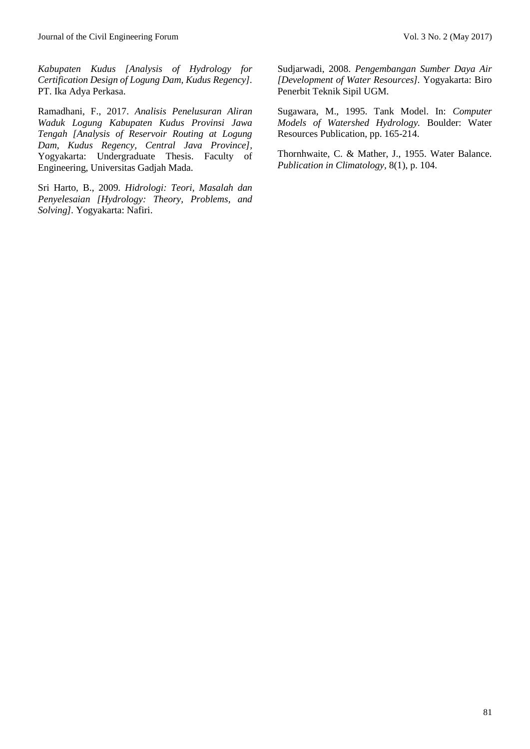*Kabupaten Kudus [Analysis of Hydrology for Certification Design of Logung Dam, Kudus Regency].*  PT. Ika Adya Perkasa.

Ramadhani, F., 2017. *Analisis Penelusuran Aliran Waduk Logung Kabupaten Kudus Provinsi Jawa Tengah [Analysis of Reservoir Routing at Logung Dam, Kudus Regency, Central Java Province],*  Yogyakarta: Undergraduate Thesis. Faculty of Engineering, Universitas Gadjah Mada.

Sri Harto, B., 2009. *Hidrologi: Teori, Masalah dan Penyelesaian [Hydrology: Theory, Problems, and Solving].* Yogyakarta: Nafiri.

Sudjarwadi, 2008. *Pengembangan Sumber Daya Air [Development of Water Resources].* Yogyakarta: Biro Penerbit Teknik Sipil UGM.

Sugawara, M., 1995. Tank Model. In: *Computer Models of Watershed Hydrology.* Boulder: Water Resources Publication, pp. 165-214.

Thornhwaite, C. & Mather, J., 1955. Water Balance. *Publication in Climatology,* 8(1), p. 104.